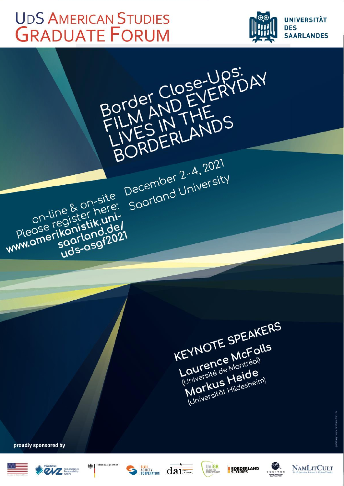# **UDS AMERICAN STUDIES GRADUATE FORUM**

on-line & on-site

soorland.del

Please register here:

www.amerikanistik.uni-



KEYNOTE SPEAKERS Laurence McFalls Université de Montréal Markus Heide (Universität Hildesheim)

proudly sponsored by











BORDERLANDS

December 2-4, 2021

Saarland University



**BORDERLAND** 



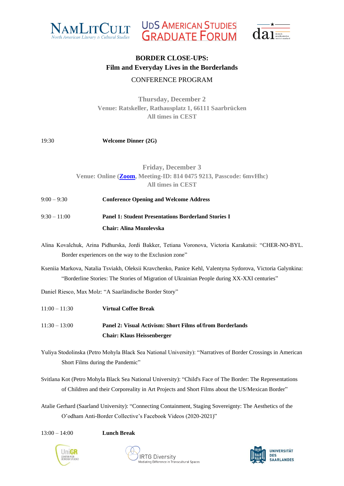





## CONFERENCE PROGRAM

**Thursday, December 2 Venue: Ratskeller, Rathausplatz 1, 66111 Saarbrücken All times in CEST**

## 19:30 **Welcome Dinner (2G)**

## **Friday, December 3 Venue: Online [\(Zoom,](https://us06web.zoom.us/j/81404759213?pwd=RzV6eUFlK0hnRjdMQWZKL0ZMVFpiZz09) Meeting-ID: 814 0475 9213, Passcode: 6mvHhc) All times in CEST**

- 9:00 9:30 **Conference Opening and Welcome Address**
- 9:30 11:00 **Panel 1: Student Presentations Borderland Stories I Chair: Alina Mozolevska**
- Alina Kovalchuk, Arina Pidhurska, Jordi Bakker, Tetiana Voronova, Victoria Karakatsii: "CHER-NO-BYL. Border experiences on the way to the Exclusion zone"
- Kseniia Markova, Natalia Tsviakh, Oleksii Kravchenko, Panice Kehl, Valentyna Sydorova, Victoria Galynkina: "Borderline Stories: The Stories of Migration of Ukrainian People during XX-XXI centuries"
- Daniel Riesco, Max Molz: "A Saarländische Border Story"
- 11:00 11:30 **Virtual Coffee Break** 11:30 – 13:00 **Panel 2: Visual Activism: Short Films of/from Borderlands Chair: Klaus Heissenberger**
- Yuliya Stodolinska (Petro Mohyla Black Sea National University): "Narratives of Border Crossings in American Short Films during the Pandemic"
- Svitlana Kot (Petro Mohyla Black Sea National University): "Child's Face of The Border: The Representations of Children and their Corporeality in Art Projects and Short Films about the US/Mexican Border"
- Atalie Gerhard (Saarland University): "Connecting Containment, Staging Sovereignty: The Aesthetics of the O'odham Anti-Border Collective's Facebook Videos (2020-2021)"

13:00 – 14:00 **Lunch Break**





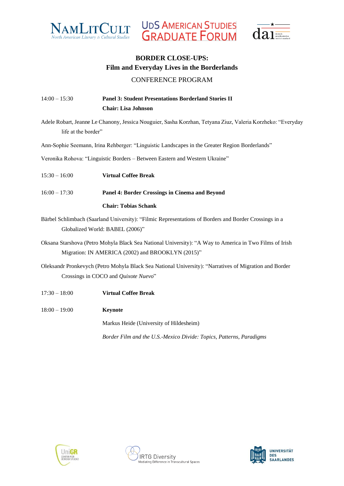



UDS AMERICAN STUDIES<br>GRADUATE FORUM

## CONFERENCE PROGRAM

## 14:00 – 15:30 **Panel 3: Student Presentations Borderland Stories II Chair: Lisa Johnson**

Adele Robart, Jeanne Le Chanony, Jessica Nouguier, Sasha Korzhan, Tetyana Ziuz, Valeria Korzheko: "Everyday life at the border"

Ann-Sophie Seemann, Irina Rehberger: "Linguistic Landscapes in the Greater Region Borderlands"

Veronika Rohova: "Linguistic Borders – Between Eastern and Western Ukraine"

- 15:30 16:00 **Virtual Coffee Break**
- 16:00 17:30 **Panel 4: Border Crossings in Cinema and Beyond**

#### **Chair: Tobias Schank**

Bärbel Schlimbach (Saarland University): "Filmic Representations of Borders and Border Crossings in a Globalized World: BABEL (2006)"

Oksana Starshova (Petro Mohyla Black Sea National University): "A Way to America in Two Films of Irish Migration: IN AMERICA (2002) and BROOKLYN (2015)"

Oleksandr Pronkevych (Petro Mohyla Black Sea National University): "Narratives of Migration and Border Crossings in COCO and *Quixote Nuevo*"

- 17:30 18:00 **Virtual Coffee Break**
- 18:00 19:00 **Keynote**

Markus Heide (University of Hildesheim)

*Border Film and the U.S.-Mexico Divide: Topics, Patterns, Paradigms*





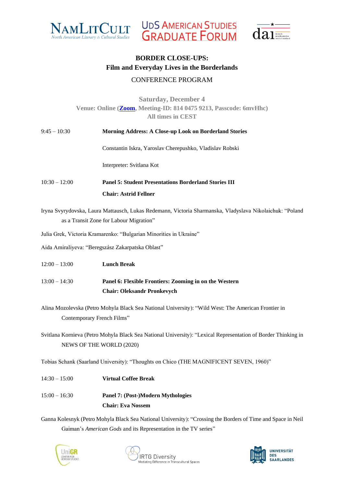





## CONFERENCE PROGRAM

## **Saturday, December 4 Venue: Online [\(Zoom,](https://us06web.zoom.us/j/81404759213?pwd=RzV6eUFlK0hnRjdMQWZKL0ZMVFpiZz09) Meeting-ID: 814 0475 9213, Passcode: 6mvHhc) All times in CEST**

| $9:45 - 10:30$  | Morning Address: A Close-up Look on Borderland Stories                                                                                                                              |
|-----------------|-------------------------------------------------------------------------------------------------------------------------------------------------------------------------------------|
|                 | Constantin Iskra, Yaroslav Cherepushko, Vladislav Robski                                                                                                                            |
|                 | Interpreter: Svitlana Kot                                                                                                                                                           |
| $10:30 - 12:00$ | <b>Panel 5: Student Presentations Borderland Stories III</b>                                                                                                                        |
|                 | <b>Chair: Astrid Fellner</b>                                                                                                                                                        |
|                 | Iryna Svyrydovska, Laura Mattausch, Lukas Redemann, Victoria Sharmanska, Vladyslava Nikolaichuk: "Poland<br>as a Transit Zone for Labour Migration"                                 |
|                 | Julia Grek, Victoria Kramarenko: "Bulgarian Minorities in Ukraine"                                                                                                                  |
|                 | Aida Amiraliyeva: "Beregszász Zakarpatska Oblast"                                                                                                                                   |
| $12:00 - 13:00$ | <b>Lunch Break</b>                                                                                                                                                                  |
| $13:00 - 14:30$ | Panel 6: Flexible Frontiers: Zooming in on the Western                                                                                                                              |
|                 | <b>Chair: Oleksandr Pronkevych</b>                                                                                                                                                  |
|                 | Alina Mozolevska (Petro Mohyla Black Sea National University): "Wild West: The American Frontier in                                                                                 |
|                 | Contemporary French Films"                                                                                                                                                          |
|                 | $\alpha$ and $\alpha$ is the $\alpha$ and $\alpha$ is the $\alpha$ in the $\alpha$ is the set of $\alpha$ is the $\alpha$<br>$\mathcal{L}$ . The $\mathcal{L}$ is the $\mathcal{L}$ |

Svitlana Kornieva (Petro Mohyla Black Sea National University): "Lexical Representation of Border Thinking in NEWS OF THE WORLD (2020)

Tobias Schank (Saarland University): "Thoughts on Chico (THE MAGNIFICENT SEVEN, 1960)"

14:30 – 15:00 **Virtual Coffee Break** 15:00 – 16:30 **Panel 7: (Post-)Modern Mythologies Chair: Eva Nossem**

Ganna Kolesnyk (Petro Mohyla Black Sea National University): "Crossing the Borders of Time and Space in Neil Gaiman's *American Gods* and its Representation in the TV series"